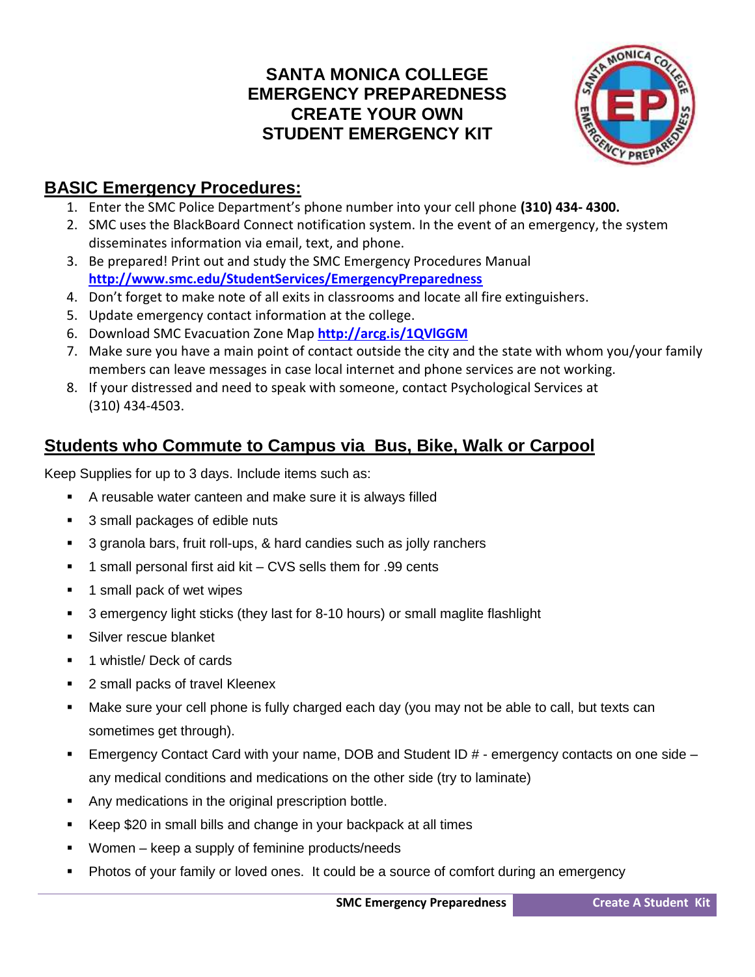## **SANTA MONICA COLLEGE EMERGENCY PREPAREDNESS CREATE YOUR OWN STUDENT EMERGENCY KIT**



## **BASIC Emergency Procedures:**

- 1. Enter the SMC Police Department's phone number into your cell phone **(310) 434- 4300.**
- 2. SMC uses the BlackBoard Connect notification system. In the event of an emergency, the system disseminates information via email, text, and phone.
- 3. Be prepared! Print out and study the SMC [Emergency Procedures](http://www.smc.edu/StudentServices/EmergencyPreparedness/Documents/Student%20Emergency%20Procedures%20Checklist.pdf) Manual **<http://www.smc.edu/StudentServices/EmergencyPreparedness>**
- 4. Don't forget to make note of all exits in classrooms and locate all fire extinguishers.
- 5. Update emergency contact information at the college.
- 6. Download SMC Evacuation Zone Map **<http://arcg.is/1QVlGGM>**
- 7. Make sure you have a main point of contact outside the city and the state with whom you/your family members can leave messages in case local internet and phone services are not working.
- 8. If your distressed and need to speak with someone, contact Psychological Services at (310) 434-4503.

## **Students who Commute to Campus via Bus, Bike, Walk or Carpool**

Keep Supplies for up to 3 days. Include items such as:

- A reusable water canteen and make sure it is always filled
- 3 small packages of edible nuts
- 3 granola bars, fruit roll-ups, & hard candies such as jolly ranchers
- 1 small personal first aid kit CVS sells them for .99 cents
- 1 small pack of wet wipes
- 3 emergency light sticks (they last for 8-10 hours) or small maglite flashlight
- **Silver rescue blanket**
- 1 whistle/ Deck of cards
- 2 small packs of travel Kleenex
- Make sure your cell phone is fully charged each day (you may not be able to call, but texts can sometimes get through).
- **Emergency Contact Card with your name, DOB and Student ID**  $#$  **emergency contacts on one side** any medical conditions and medications on the other side (try to laminate)
- Any medications in the original prescription bottle.
- Keep \$20 in small bills and change in your backpack at all times
- Women keep a supply of feminine products/needs
- Photos of your family or loved ones. It could be a source of comfort during an emergency